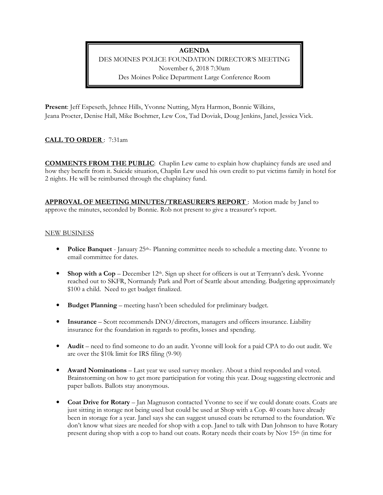### **AGENDA**

DES MOINES POLICE FOUNDATION DIRECTOR'S MEETING November 6, 2018 7:30am Des Moines Police Department Large Conference Room

**Present**: Jeff Espeseth, Jehnee Hills, Yvonne Nutting, Myra Harmon, Bonnie Wilkins, Jeana Procter, Denise Hall, Mike Boehmer, Lew Cox, Tad Doviak, Doug Jenkins, Janel, Jessica Vick.

# **CALL TO ORDER** : 7:31am

**COMMENTS FROM THE PUBLIC**: Chaplin Lew came to explain how chaplaincy funds are used and how they benefit from it. Suicide situation, Chaplin Lew used his own credit to put victims family in hotel for 2 nights. He will be reimbursed through the chaplaincy fund.

**APPROVAL OF MEETING MINUTES/TREASURER'S REPORT** : Motion made by Janel to approve the minutes, seconded by Bonnie. Rob not present to give a treasurer's report.

### NEW BUSINESS

- **Police Banquet** January 25<sup>th</sup>- Planning committee needs to schedule a meeting date. Yvonne to email committee for dates.
- **Shop with a Cop** December  $12<sup>th</sup>$ . Sign up sheet for officers is out at Terryann's desk. Yvonne reached out to SKFR, Normandy Park and Port of Seattle about attending. Budgeting approximately \$100 a child. Need to get budget finalized.
- **Budget Planning** meeting hasn't been scheduled for preliminary budget.
- **Insurance** Scott recommends DNO/directors, managers and officers insurance. Liability insurance for the foundation in regards to profits, losses and spending.
- **Audit** need to find someone to do an audit. Yvonne will look for a paid CPA to do out audit. We are over the \$10k limit for IRS filing (9-90)
- **Award Nominations** Last year we used survey monkey. About a third responded and voted. Brainstorming on how to get more participation for voting this year. Doug suggesting electronic and paper ballots. Ballots stay anonymous.
- **Coat Drive for Rotary** Jan Magnuson contacted Yvonne to see if we could donate coats. Coats are just sitting in storage not being used but could be used at Shop with a Cop. 40 coats have already been in storage for a year. Janel says she can suggest unused coats be returned to the foundation. We don't know what sizes are needed for shop with a cop. Janel to talk with Dan Johnson to have Rotary present during shop with a cop to hand out coats. Rotary needs their coats by Nov 15<sup>th</sup> (in time for